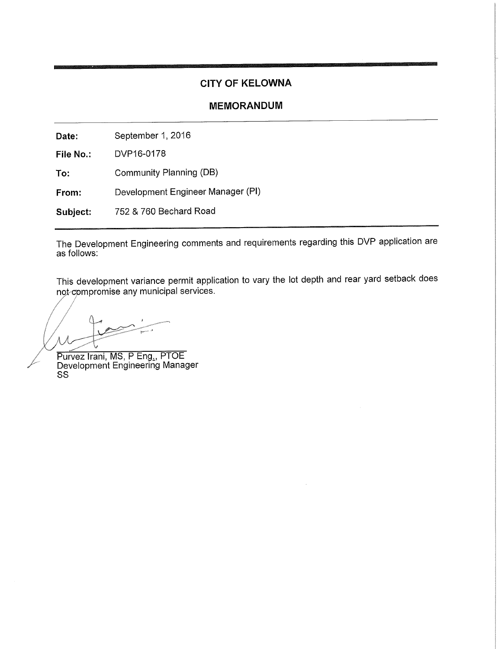# **CITY OF KELOWNA**

## **MEMORANDUM**

September 1, 2016 Date:

DVP16-0178 File No.:

Community Planning (DB) To:

Development Engineer Manager (PI) From:

752 & 760 Bechard Road Subject:

The Development Engineering comments and requirements regarding this DVP application are as follows:

This development variance permit application to vary the lot depth and rear yard setback does not compromise any municipal services.

Purvez Irani, MS, P Eng., PTOE<br>Development Engineering Manager SS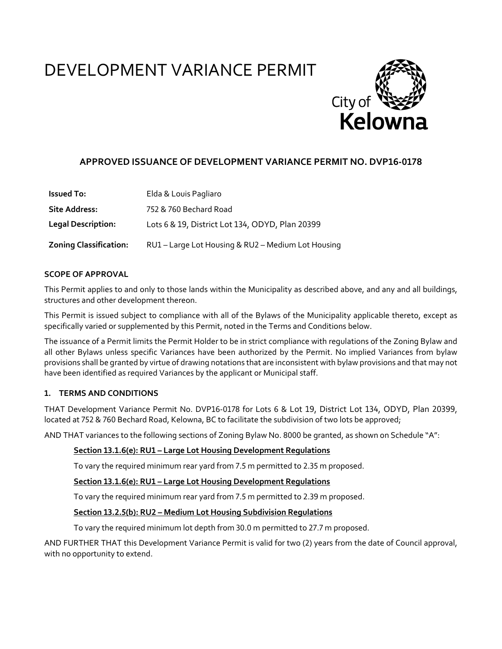# DEVELOPMENT VARIANCE PERMIT



# **APPROVED ISSUANCE OF DEVELOPMENT VARIANCE PERMIT NO. DVP16-0178**

| <b>Issued To:</b>             | Elda & Louis Pagliaro                              |
|-------------------------------|----------------------------------------------------|
| <b>Site Address:</b>          | 752 & 760 Bechard Road                             |
| <b>Legal Description:</b>     | Lots 6 & 19, District Lot 134, ODYD, Plan 20399    |
| <b>Zoning Classification:</b> | RU1 - Large Lot Housing & RU2 - Medium Lot Housing |

#### **SCOPE OF APPROVAL**

This Permit applies to and only to those lands within the Municipality as described above, and any and all buildings, structures and other development thereon.

This Permit is issued subject to compliance with all of the Bylaws of the Municipality applicable thereto, except as specifically varied or supplemented by this Permit, noted in the Terms and Conditions below.

The issuance of a Permit limits the Permit Holder to be in strict compliance with regulations of the Zoning Bylaw and all other Bylaws unless specific Variances have been authorized by the Permit. No implied Variances from bylaw provisions shall be granted by virtue of drawing notations that are inconsistent with bylaw provisions and that may not have been identified as required Variances by the applicant or Municipal staff.

#### **ͭ. TERMS AND CONDITIONS**

THAT Development Variance Permit No. DVP16-0178 for Lots 6 & Lot 19, District Lot 134, ODYD, Plan 20399, located at 752 & 760 Bechard Road, Kelowna, BC to facilitate the subdivision of two lots be approved;

AND THAT variances to the following sections of Zoning Bylaw No. 8000 be granted, as shown on Schedule "A":

## **Section ͭͯ.ͭ.Ͳ(e): RUͭ – Large Lot Housing Development Regulations**

To vary the required minimum rear yard from 7.5 m permitted to 2.35 m proposed.

#### **Section ͭͯ.ͭ.Ͳ(e): RUͭ – Large Lot Housing Development Regulations**

To vary the required minimum rear yard from 7.5 m permitted to 2.39 m proposed.

#### **<u>Section 13.2.5(b): RU2 – Medium Lot Housing Subdivision Regulations</u>**

To vary the required minimum lot depth from 30.0 m permitted to 27.7 m proposed.

AND FURTHER THAT this Development Variance Permit is valid for two (2) years from the date of Council approval, with no opportunity to extend.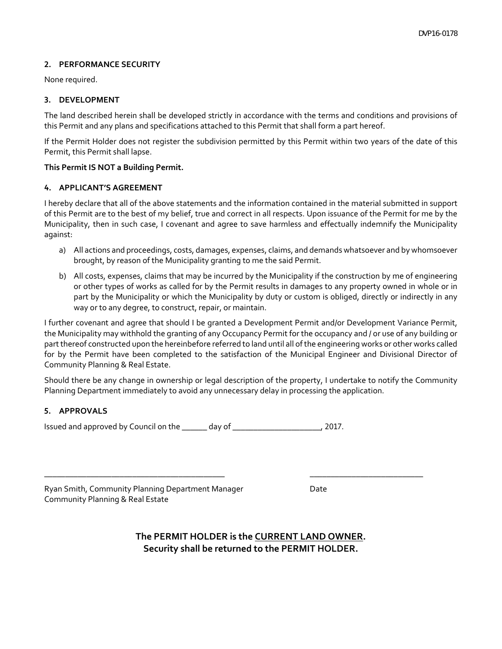#### **ͮ. PERFORMANCE SECURITY**

None required.

#### **ͯ. DEVELOPMENT**

The land described herein shall be developed strictly in accordance with the terms and conditions and provisions of this Permit and any plans and specifications attached to this Permit that shall form a part hereof.

If the Permit Holder does not register the subdivision permitted by this Permit within two years of the date of this Permit, this Permit shall lapse.

#### **This Permit IS NOT a Building Permit.**

#### **Ͱ. APPLICANT'S AGREEMENT**

I hereby declare that all of the above statements and the information contained in the material submitted in support of this Permit are to the best of my belief, true and correct in all respects. Upon issuance of the Permit for me by the Municipality, then in such case, I covenant and agree to save harmless and effectually indemnify the Municipality against:

- a) All actions and proceedings, costs, damages, expenses, claims, and demands whatsoever and by whomsoever brought, by reason of the Municipality granting to me the said Permit.
- b) All costs, expenses, claims that may be incurred by the Municipality if the construction by me of engineering or other types of works as called for by the Permit results in damages to any property owned in whole or in part by the Municipality or which the Municipality by duty or custom is obliged, directly or indirectly in any way or to any degree, to construct, repair, or maintain.

I further covenant and agree that should I be granted a Development Permit and/or Development Variance Permit, the Municipality may withhold the granting of any Occupancy Permit for the occupancy and / or use of any building or partthereof constructed upon the hereinbefore referred to land until all ofthe engineering works or other works called for by the Permit have been completed to the satisfaction of the Municipal Engineer and Divisional Director of Community Planning & Real Estate.

Should there be any change in ownership or legal description of the property, I undertake to notify the Community Planning Department immediately to avoid any unnecessary delay in processing the application.

#### **ͱ. APPROVALS**

| Issued and approved by Council on the | day of | . 2017. |
|---------------------------------------|--------|---------|
|---------------------------------------|--------|---------|

| Ryan Smith, Community Planning Department Manager | Date |
|---------------------------------------------------|------|
| Community Planning & Real Estate                  |      |

**The PERMIT HOLDER is the CURRENT LAND OWNER. Security shall be returned to the PERMIT HOLDER.**

\_\_\_\_\_\_\_\_\_\_\_\_\_\_\_\_\_\_\_\_\_\_\_\_\_\_\_\_\_\_\_\_\_\_\_\_\_\_\_\_\_\_\_ \_\_\_\_\_\_\_\_\_\_\_\_\_\_\_\_\_\_\_\_\_\_\_\_\_\_\_